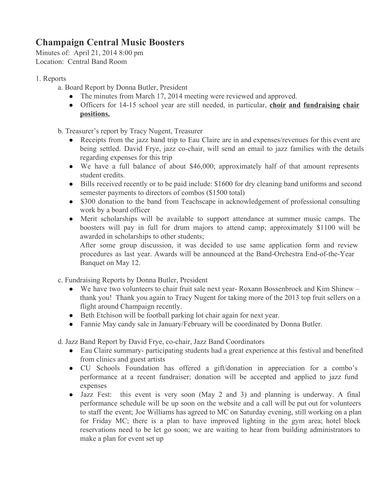## **Champaign Central Music Boosters**

Minutes of: April 21, 2014 8:00 pm Location: Central Band Room

- 1. Reports
	- a. Board Report by Donna Butler, President
		- The minutes from March 17, 2014 meeting were reviewed and approved.
		- Officers for 1415 school year are still needed, in particular, **choir and fundraising chair positions.**

b. Treasurer's report by Tracy Nugent, Treasurer

- Receipts from the jazz band trip to Eau Claire are in and expenses/revenues for this event are being settled. David Frye, jazz co-chair, will send an email to jazz families with the details regarding expenses for this trip
- We have a full balance of about \$46,000; approximately half of that amount represents student credits.
- Bills received recently or to be paid include: \$1600 for dry cleaning band uniforms and second semester payments to directors of combos (\$1500 total)
- \$300 donation to the band from Teachscape in acknowledgement of professional consulting work by a board officer
- Merit scholarships will be available to support attendance at summer music camps. The boosters will pay in full for drum majors to attend camp; approximately \$1100 will be awarded in scholarships to other students;

After some group discussion, it was decided to use same application form and review procedures as last year. Awards will be announced at the Band-Orchestra End-of-the-Year Banquet on May 12.

- c. Fundraising Reports by Donna Butler, President
	- We have two volunteers to chair fruit sale next year-Roxann Bossenbroek and Kim Shinew thank you! Thank you again to Tracy Nugent for taking more of the 2013 top fruit sellers on a flight around Champaign recently.
	- Beth Etchison will be football parking lot chair again for next year.
	- Fannie May candy sale in January/February will be coordinated by Donna Butler.

d. Jazz Band Report by David Frye, cochair, Jazz Band Coordinators

- Eau Claire summary- participating students had a great experience at this festival and benefited from clinics and guest artists
- CU Schools Foundation has offered a gift/donation in appreciation for a combo's performance at a recent fundraiser; donation will be accepted and applied to jazz fund expenses
- Jazz Fest: this event is very soon (May 2 and 3) and planning is underway. A final performance schedule will be up soon on the website and a call will be put out for volunteers to staff the event; Joe Williams has agreed to MC on Saturday evening, still working on a plan for Friday MC; there is a plan to have improved lighting in the gym area; hotel block reservations need to be let go soon; we are waiting to hear from building administrators to make a plan for event set up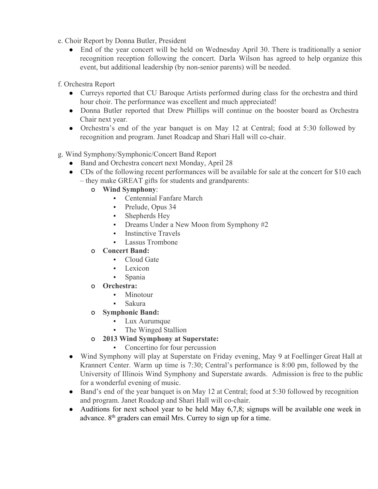- e. Choir Report by Donna Butler, President
	- End of the year concert will be held on Wednesday April 30. There is traditionally a senior recognition reception following the concert. Darla Wilson has agreed to help organize this event, but additional leadership (by non-senior parents) will be needed.
- f. Orchestra Report
	- Curreys reported that CU Baroque Artists performed during class for the orchestra and third hour choir. The performance was excellent and much appreciated!
	- Donna Butler reported that Drew Phillips will continue on the booster board as Orchestra Chair next year.
	- Orchestra's end of the year banquet is on May 12 at Central; food at 5:30 followed by recognition and program. Janet Roadcap and Shari Hall will co-chair.
- g. Wind Symphony/Symphonic/Concert Band Report
	- Band and Orchestra concert next Monday, April 28
	- CDs of the following recent performances will be available for sale at the concert for \$10 each – they make GREAT gifts for students and grandparents:
		- o **Wind Symphony**:
			- Centennial Fanfare March
			- Prelude, Opus 34
			- Shepherds Hey
			- Dreams Under a New Moon from Symphony #2
			- **•** Instinctive Travels
			- **Lassus Trombone**
		- o **Concert Band:**
			- Cloud Gate
			- Lexicon
			- Spania
		- o **Orchestra:**
			- Minotour
			- Sakura
		- o **Symphonic Band:**
			- Lux Aurumque
			- The Winged Stallion
		- o **2013 Wind Symphony at Superstate:**
			- Concertino for four percussion
	- Wind Symphony will play at Superstate on Friday evening, May 9 at Foellinger Great Hall at Krannert Center. Warm up time is 7:30; Central's performance is 8:00 pm, followed by the University of Illinois Wind Symphony and Superstate awards. Admission is free to the public for a wonderful evening of music.
	- Band's end of the year banquet is on May 12 at Central; food at 5:30 followed by recognition and program. Janet Roadcap and Shari Hall will co-chair.
	- Auditions for next school year to be held May  $6,7,8$ ; signups will be available one week in advance. 8<sup>th</sup> graders can email Mrs. Currey to sign up for a time.